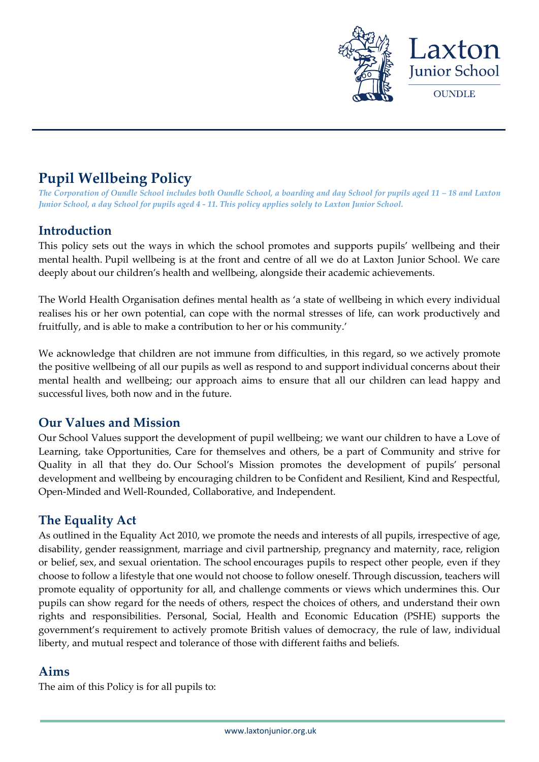

# **Pupil Wellbeing Policy**

*The Corporation of Oundle School includes both Oundle School, a boarding and day School for pupils aged 11 – 18 and Laxton Junior School, a day School for pupils aged 4 - 11. This policy applies solely to Laxton Junior School.*

# **Introduction**

This policy sets out the ways in which the school promotes and supports pupils' wellbeing and their mental health. Pupil wellbeing is at the front and centre of all we do at Laxton Junior School. We care deeply about our children's health and wellbeing, alongside their academic achievements.

The World Health Organisation defines mental health as 'a state of wellbeing in which every individual realises his or her own potential, can cope with the normal stresses of life, can work productively and fruitfully, and is able to make a contribution to her or his community.'

We acknowledge that children are not immune from difficulties, in this regard, so we actively promote the positive wellbeing of all our pupils as well as respond to and support individual concerns about their mental health and wellbeing; our approach aims to ensure that all our children can lead happy and successful lives, both now and in the future.

# **Our Values and Mission**

Our School Values support the development of pupil wellbeing; we want our children to have a Love of Learning, take Opportunities, Care for themselves and others, be a part of Community and strive for Quality in all that they do. Our School's Mission promotes the development of pupils' personal development and wellbeing by encouraging children to be Confident and Resilient, Kind and Respectful, Open-Minded and Well-Rounded, Collaborative, and Independent.

# **The Equality Act**

As outlined in the Equality Act 2010, we promote the needs and interests of all pupils, irrespective of age, disability, gender reassignment, marriage and civil partnership, pregnancy and maternity, race, religion or belief, sex, and sexual orientation. The school encourages pupils to respect other people, even if they choose to follow a lifestyle that one would not choose to follow oneself. Through discussion, teachers will promote equality of opportunity for all, and challenge comments or views which undermines this. Our pupils can show regard for the needs of others, respect the choices of others, and understand their own rights and responsibilities. Personal, Social, Health and Economic Education (PSHE) supports the government's requirement to actively promote British values of democracy, the rule of law, individual liberty, and mutual respect and tolerance of those with different faiths and beliefs.

### **Aims**

The aim of this Policy is for all pupils to: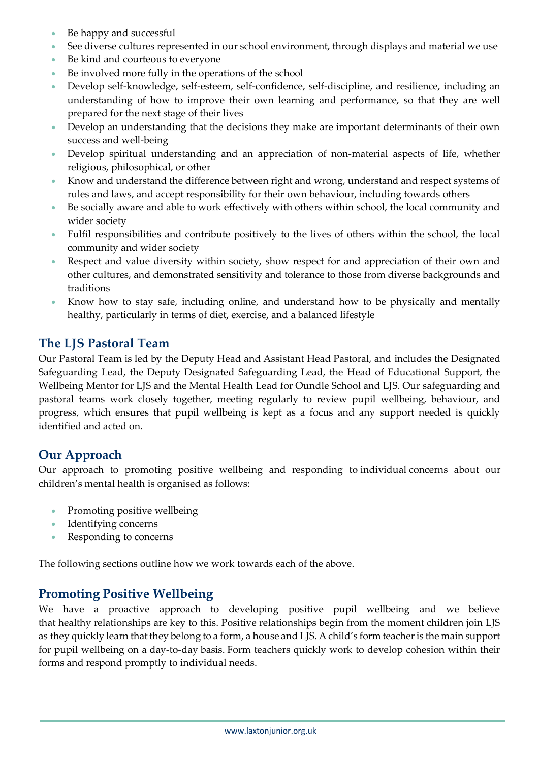- Be happy and successful
- See diverse cultures represented in our school environment, through displays and material we use
- Be kind and courteous to everyone
- Be involved more fully in the operations of the school
- Develop self-knowledge, self-esteem, self-confidence, self-discipline, and resilience, including an understanding of how to improve their own learning and performance, so that they are well prepared for the next stage of their lives
- Develop an understanding that the decisions they make are important determinants of their own success and well-being
- Develop spiritual understanding and an appreciation of non-material aspects of life, whether religious, philosophical, or other
- Know and understand the difference between right and wrong, understand and respect systems of rules and laws, and accept responsibility for their own behaviour, including towards others
- Be socially aware and able to work effectively with others within school, the local community and wider society
- Fulfil responsibilities and contribute positively to the lives of others within the school, the local community and wider society
- Respect and value diversity within society, show respect for and appreciation of their own and other cultures, and demonstrated sensitivity and tolerance to those from diverse backgrounds and traditions
- Know how to stay safe, including online, and understand how to be physically and mentally healthy, particularly in terms of diet, exercise, and a balanced lifestyle

# **The LJS Pastoral Team**

Our Pastoral Team is led by the Deputy Head and Assistant Head Pastoral, and includes the Designated Safeguarding Lead, the Deputy Designated Safeguarding Lead, the Head of Educational Support, the Wellbeing Mentor for LJS and the Mental Health Lead for Oundle School and LJS. Our safeguarding and pastoral teams work closely together, meeting regularly to review pupil wellbeing, behaviour, and progress, which ensures that pupil wellbeing is kept as a focus and any support needed is quickly identified and acted on.

# **Our Approach**

Our approach to promoting positive wellbeing and responding to individual concerns about our children's mental health is organised as follows:

- Promoting positive wellbeing
- Identifying concerns
- Responding to concerns

The following sections outline how we work towards each of the above.

# **Promoting Positive Wellbeing**

We have a proactive approach to developing positive pupil wellbeing and we believe that healthy relationships are key to this. Positive relationships begin from the moment children join LJS as they quickly learn that they belong to a form, a house and LJS. A child's form teacher is the main support for pupil wellbeing on a day-to-day basis. Form teachers quickly work to develop cohesion within their forms and respond promptly to individual needs.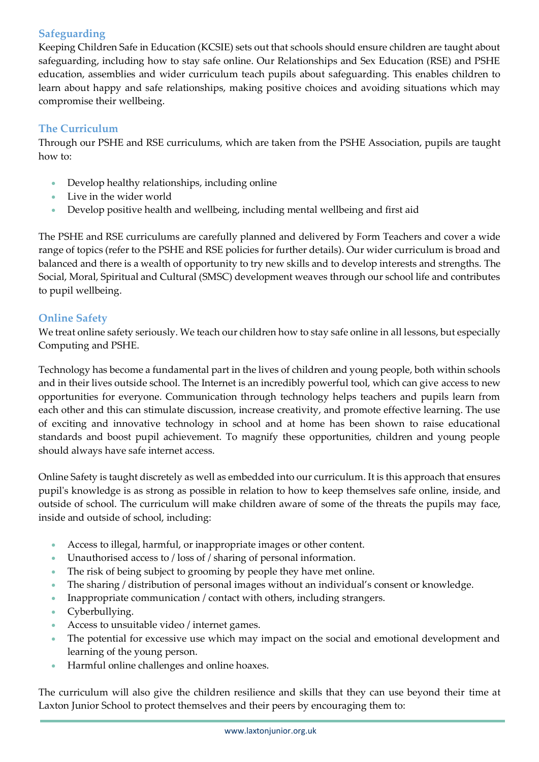# **Safeguarding**

Keeping Children Safe in Education (KCSIE) sets out that schools should ensure children are taught about safeguarding, including how to stay safe online. Our Relationships and Sex Education (RSE) and PSHE education, assemblies and wider curriculum teach pupils about safeguarding. This enables children to learn about happy and safe relationships, making positive choices and avoiding situations which may compromise their wellbeing.

### **The Curriculum**

Through our PSHE and RSE curriculums, which are taken from the PSHE Association, pupils are taught how to:

- Develop healthy relationships, including online
- Live in the wider world
- Develop positive health and wellbeing, including mental wellbeing and first aid

The PSHE and RSE curriculums are carefully planned and delivered by Form Teachers and cover a wide range of topics (refer to the PSHE and RSE policies for further details). Our wider curriculum is broad and balanced and there is a wealth of opportunity to try new skills and to develop interests and strengths. The Social, Moral, Spiritual and Cultural (SMSC) development weaves through our school life and contributes to pupil wellbeing.

### **Online Safety**

We treat online safety seriously. We teach our children how to stay safe online in all lessons, but especially Computing and PSHE.

Technology has become a fundamental part in the lives of children and young people, both within schools and in their lives outside school. The Internet is an incredibly powerful tool, which can give access to new opportunities for everyone. Communication through technology helps teachers and pupils learn from each other and this can stimulate discussion, increase creativity, and promote effective learning. The use of exciting and innovative technology in school and at home has been shown to raise educational standards and boost pupil achievement. To magnify these opportunities, children and young people should always have safe internet access.

Online Safety is taught discretely as well as embedded into our curriculum. It is this approach that ensures pupil's knowledge is as strong as possible in relation to how to keep themselves safe online, inside, and outside of school. The curriculum will make children aware of some of the threats the pupils may face, inside and outside of school, including:

- Access to illegal, harmful, or inappropriate images or other content.
- Unauthorised access to / loss of / sharing of personal information.
- The risk of being subject to grooming by people they have met online.
- The sharing / distribution of personal images without an individual's consent or knowledge.
- Inappropriate communication / contact with others, including strangers.
- Cyberbullying.
- Access to unsuitable video / internet games.
- The potential for excessive use which may impact on the social and emotional development and learning of the young person.
- Harmful online challenges and online hoaxes.

The curriculum will also give the children resilience and skills that they can use beyond their time at Laxton Junior School to protect themselves and their peers by encouraging them to: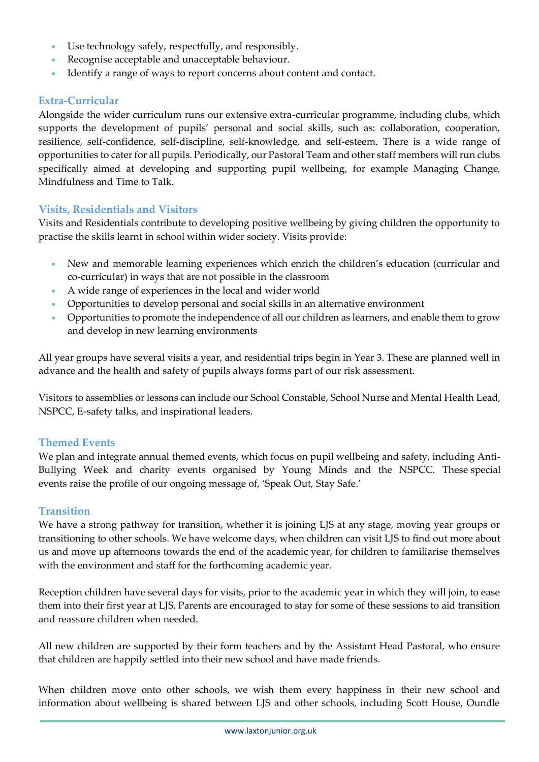- Use technology safely, respectfully, and responsibly.
- Recognise acceptable and unacceptable behaviour.
- Identify a range of ways to report concerns about content and contact.

#### **Extra-Curricular**

Alongside the wider curriculum runs our extensive extra-curricular programme, including clubs, which supports the development of pupils' personal and social skills, such as: collaboration, cooperation, resilience, self-confidence, self-discipline, self-knowledge, and self-esteem. There is a wide range of opportunities to cater for all pupils. Periodically, our Pastoral Team and other staff members will run clubs specifically aimed at developing and supporting pupil wellbeing, for example Managing Change, Mindfulness and Time to Talk.

### **Visits, Residentials and Visitors**

Visits and Residentials contribute to developing positive wellbeing by giving children the opportunity to practise the skills learnt in school within wider society. Visits provide:

- New and memorable learning experiences which enrich the children's education (curricular and co-curricular) in ways that are not possible in the classroom
- A wide range of experiences in the local and wider world
- Opportunities to develop personal and social skills in an alternative environment
- Opportunities to promote the independence of all our children as learners, and enable them to grow and develop in new learning environments

All year groups have several visits a year, and residential trips begin in Year 3. These are planned well in advance and the health and safety of pupils always forms part of our risk assessment.

Visitors to assemblies or lessons can include our School Constable, School Nurse and Mental Health Lead, NSPCC, E-safety talks, and inspirational leaders.

#### **Themed Events**

We plan and integrate annual themed events, which focus on pupil wellbeing and safety, including Anti-Bullying Week and charity events organised by Young Minds and the NSPCC. These special events raise the profile of our ongoing message of, 'Speak Out, Stay Safe.'

#### **Transition**

We have a strong pathway for transition, whether it is joining LJS at any stage, moving year groups or transitioning to other schools. We have welcome days, when children can visit LJS to find out more about us and move up afternoons towards the end of the academic year, for children to familiarise themselves with the environment and staff for the forthcoming academic year.

Reception children have several days for visits, prior to the academic year in which they will join, to ease them into their first year at LJS. Parents are encouraged to stay for some of these sessions to aid transition and reassure children when needed.

All new children are supported by their form teachers and by the Assistant Head Pastoral, who ensure that children are happily settled into their new school and have made friends.

When children move onto other schools, we wish them every happiness in their new school and information about wellbeing is shared between LJS and other schools, including Scott House, Oundle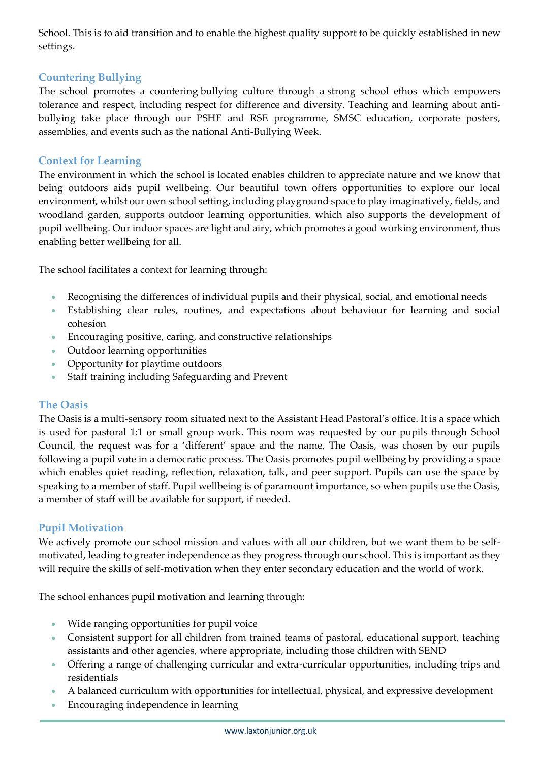School. This is to aid transition and to enable the highest quality support to be quickly established in new settings.

### **Countering Bullying**

The school promotes a countering bullying culture through a strong school ethos which empowers tolerance and respect, including respect for difference and diversity. Teaching and learning about antibullying take place through our PSHE and RSE programme, SMSC education, corporate posters, assemblies, and events such as the national Anti-Bullying Week.

### **Context for Learning**

The environment in which the school is located enables children to appreciate nature and we know that being outdoors aids pupil wellbeing. Our beautiful town offers opportunities to explore our local environment, whilst our own school setting, including playground space to play imaginatively, fields, and woodland garden, supports outdoor learning opportunities, which also supports the development of pupil wellbeing. Our indoor spaces are light and airy, which promotes a good working environment, thus enabling better wellbeing for all.

The school facilitates a context for learning through:

- Recognising the differences of individual pupils and their physical, social, and emotional needs
- Establishing clear rules, routines, and expectations about behaviour for learning and social cohesion
- Encouraging positive, caring, and constructive relationships
- Outdoor learning opportunities
- Opportunity for playtime outdoors
- Staff training including Safeguarding and Prevent

#### **The Oasis**

The Oasis is a multi-sensory room situated next to the Assistant Head Pastoral's office. It is a space which is used for pastoral 1:1 or small group work. This room was requested by our pupils through School Council, the request was for a 'different' space and the name, The Oasis, was chosen by our pupils following a pupil vote in a democratic process. The Oasis promotes pupil wellbeing by providing a space which enables quiet reading, reflection, relaxation, talk, and peer support. Pupils can use the space by speaking to a member of staff. Pupil wellbeing is of paramount importance, so when pupils use the Oasis, a member of staff will be available for support, if needed.

#### **Pupil Motivation**

We actively promote our school mission and values with all our children, but we want them to be selfmotivated, leading to greater independence as they progress through our school. This is important as they will require the skills of self-motivation when they enter secondary education and the world of work.

The school enhances pupil motivation and learning through:

- Wide ranging opportunities for pupil voice
- Consistent support for all children from trained teams of pastoral, educational support, teaching assistants and other agencies, where appropriate, including those children with SEND
- Offering a range of challenging curricular and extra-curricular opportunities, including trips and residentials
- A balanced curriculum with opportunities for intellectual, physical, and expressive development
- Encouraging independence in learning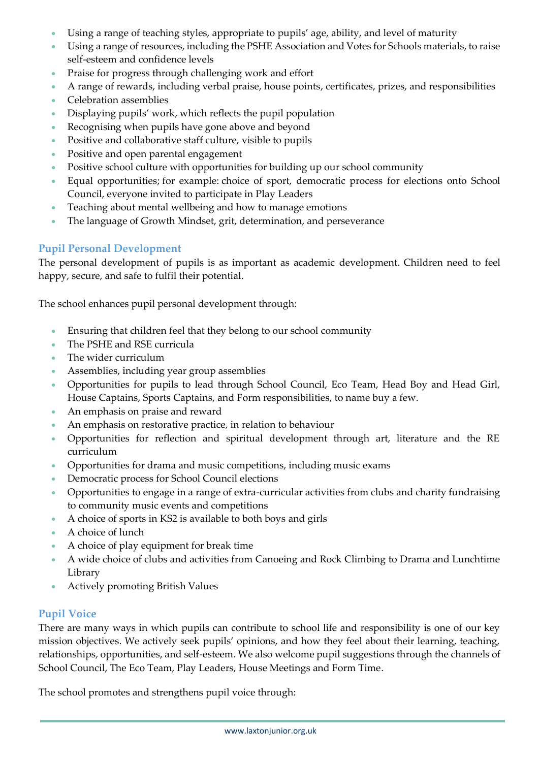- Using a range of teaching styles, appropriate to pupils' age, ability, and level of maturity
- Using a range of resources, including the PSHE Association and Votes for Schools materials, to raise self-esteem and confidence levels
- Praise for progress through challenging work and effort
- A range of rewards, including verbal praise, house points, certificates, prizes, and responsibilities
- Celebration assemblies
- Displaying pupils' work, which reflects the pupil population
- Recognising when pupils have gone above and beyond
- Positive and collaborative staff culture, visible to pupils
- Positive and open parental engagement
- Positive school culture with opportunities for building up our school community
- Equal opportunities; for example: choice of sport, democratic process for elections onto School Council, everyone invited to participate in Play Leaders
- Teaching about mental wellbeing and how to manage emotions
- The language of Growth Mindset, grit, determination, and perseverance

### **Pupil Personal Development**

The personal development of pupils is as important as academic development. Children need to feel happy, secure, and safe to fulfil their potential.

The school enhances pupil personal development through:

- Ensuring that children feel that they belong to our school community
- The PSHE and RSE curricula
- The wider curriculum
- Assemblies, including year group assemblies
- Opportunities for pupils to lead through School Council, Eco Team, Head Boy and Head Girl, House Captains, Sports Captains, and Form responsibilities, to name buy a few.
- An emphasis on praise and reward
- An emphasis on restorative practice, in relation to behaviour
- Opportunities for reflection and spiritual development through art, literature and the RE curriculum
- Opportunities for drama and music competitions, including music exams
- Democratic process for School Council elections
- Opportunities to engage in a range of extra-curricular activities from clubs and charity fundraising to community music events and competitions
- A choice of sports in KS2 is available to both boys and girls
- A choice of lunch
- A choice of play equipment for break time
- A wide choice of clubs and activities from Canoeing and Rock Climbing to Drama and Lunchtime Library
- Actively promoting British Values

### **Pupil Voice**

There are many ways in which pupils can contribute to school life and responsibility is one of our key mission objectives. We actively seek pupils' opinions, and how they feel about their learning, teaching, relationships, opportunities, and self-esteem. We also welcome pupil suggestions through the channels of School Council, The Eco Team, Play Leaders, House Meetings and Form Time.

The school promotes and strengthens pupil voice through: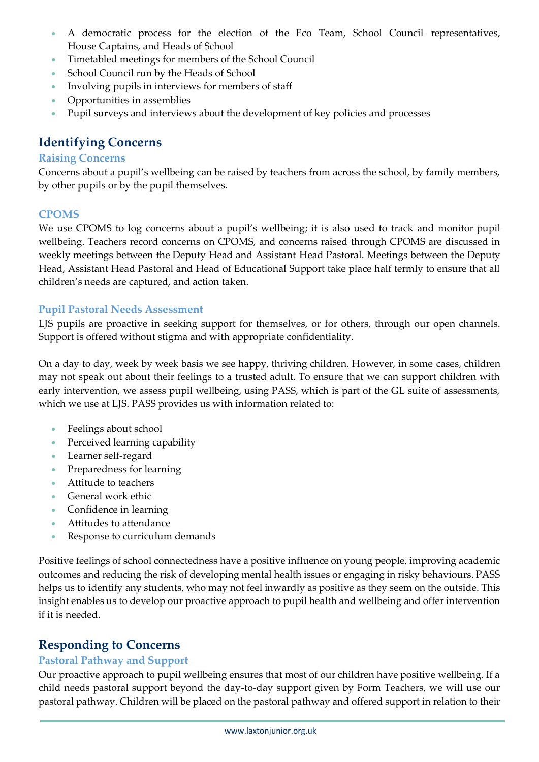- A democratic process for the election of the Eco Team, School Council representatives, House Captains, and Heads of School
- Timetabled meetings for members of the School Council
- School Council run by the Heads of School
- Involving pupils in interviews for members of staff
- Opportunities in assemblies
- Pupil surveys and interviews about the development of key policies and processes

# **Identifying Concerns**

#### **Raising Concerns**

Concerns about a pupil's wellbeing can be raised by teachers from across the school, by family members, by other pupils or by the pupil themselves.

#### **CPOMS**

We use CPOMS to log concerns about a pupil's wellbeing; it is also used to track and monitor pupil wellbeing. Teachers record concerns on CPOMS, and concerns raised through CPOMS are discussed in weekly meetings between the Deputy Head and Assistant Head Pastoral. Meetings between the Deputy Head, Assistant Head Pastoral and Head of Educational Support take place half termly to ensure that all children's needs are captured, and action taken.

#### **Pupil Pastoral Needs Assessment**

LJS pupils are proactive in seeking support for themselves, or for others, through our open channels. Support is offered without stigma and with appropriate confidentiality.

On a day to day, week by week basis we see happy, thriving children. However, in some cases, children may not speak out about their feelings to a trusted adult. To ensure that we can support children with early intervention, we assess pupil wellbeing, using PASS, which is part of the GL suite of assessments, which we use at LJS. PASS provides us with information related to:

- Feelings about school
- Perceived learning capability
- Learner self-regard
- Preparedness for learning
- Attitude to teachers
- General work ethic
- Confidence in learning
- Attitudes to attendance
- Response to curriculum demands

Positive feelings of school connectedness have a positive influence on young people, improving academic outcomes and reducing the risk of developing mental health issues or engaging in risky behaviours. PASS helps us to identify any students, who may not feel inwardly as positive as they seem on the outside. This insight enables us to develop our proactive approach to pupil health and wellbeing and offer intervention if it is needed.

# **Responding to Concerns**

### **Pastoral Pathway and Support**

Our proactive approach to pupil wellbeing ensures that most of our children have positive wellbeing. If a child needs pastoral support beyond the day-to-day support given by Form Teachers, we will use our pastoral pathway. Children will be placed on the pastoral pathway and offered support in relation to their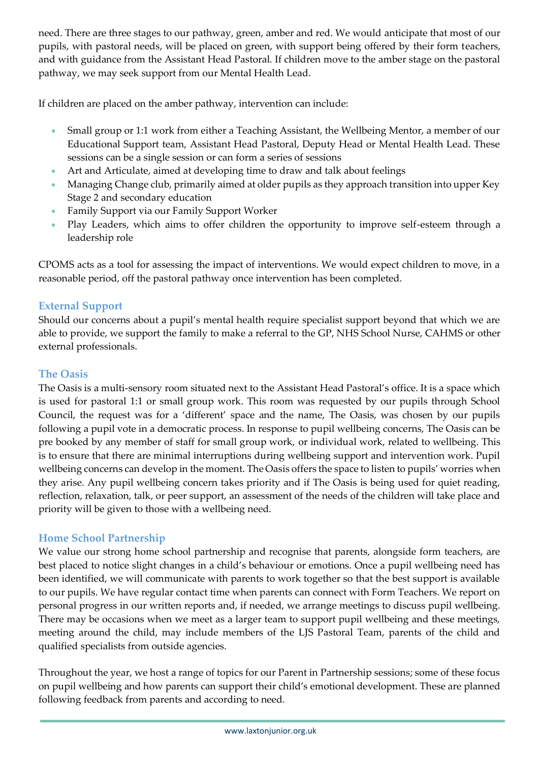need. There are three stages to our pathway, green, amber and red. We would anticipate that most of our pupils, with pastoral needs, will be placed on green, with support being offered by their form teachers, and with guidance from the Assistant Head Pastoral. If children move to the amber stage on the pastoral pathway, we may seek support from our Mental Health Lead.

If children are placed on the amber pathway, intervention can include:

- Small group or 1:1 work from either a Teaching Assistant, the Wellbeing Mentor, a member of our Educational Support team, Assistant Head Pastoral, Deputy Head or Mental Health Lead. These sessions can be a single session or can form a series of sessions
- Art and Articulate, aimed at developing time to draw and talk about feelings
- Managing Change club, primarily aimed at older pupils as they approach transition into upper Key Stage 2 and secondary education
- Family Support via our Family Support Worker
- Play Leaders, which aims to offer children the opportunity to improve self-esteem through a leadership role

CPOMS acts as a tool for assessing the impact of interventions. We would expect children to move, in a reasonable period, off the pastoral pathway once intervention has been completed.

#### **External Support**

Should our concerns about a pupil's mental health require specialist support beyond that which we are able to provide, we support the family to make a referral to the GP, NHS School Nurse, CAHMS or other external professionals.

### **The Oasis**

The Oasis is a multi-sensory room situated next to the Assistant Head Pastoral's office. It is a space which is used for pastoral 1:1 or small group work. This room was requested by our pupils through School Council, the request was for a 'different' space and the name, The Oasis, was chosen by our pupils following a pupil vote in a democratic process. In response to pupil wellbeing concerns, The Oasis can be pre booked by any member of staff for small group work, or individual work, related to wellbeing. This is to ensure that there are minimal interruptions during wellbeing support and intervention work. Pupil wellbeing concerns can develop in the moment. The Oasis offers the space to listen to pupils' worries when they arise. Any pupil wellbeing concern takes priority and if The Oasis is being used for quiet reading, reflection, relaxation, talk, or peer support, an assessment of the needs of the children will take place and priority will be given to those with a wellbeing need.

### **Home School Partnership**

We value our strong home school partnership and recognise that parents, alongside form teachers, are best placed to notice slight changes in a child's behaviour or emotions. Once a pupil wellbeing need has been identified, we will communicate with parents to work together so that the best support is available to our pupils. We have regular contact time when parents can connect with Form Teachers. We report on personal progress in our written reports and, if needed, we arrange meetings to discuss pupil wellbeing. There may be occasions when we meet as a larger team to support pupil wellbeing and these meetings, meeting around the child, may include members of the LJS Pastoral Team, parents of the child and qualified specialists from outside agencies.

Throughout the year, we host a range of topics for our Parent in Partnership sessions; some of these focus on pupil wellbeing and how parents can support their child's emotional development. These are planned following feedback from parents and according to need.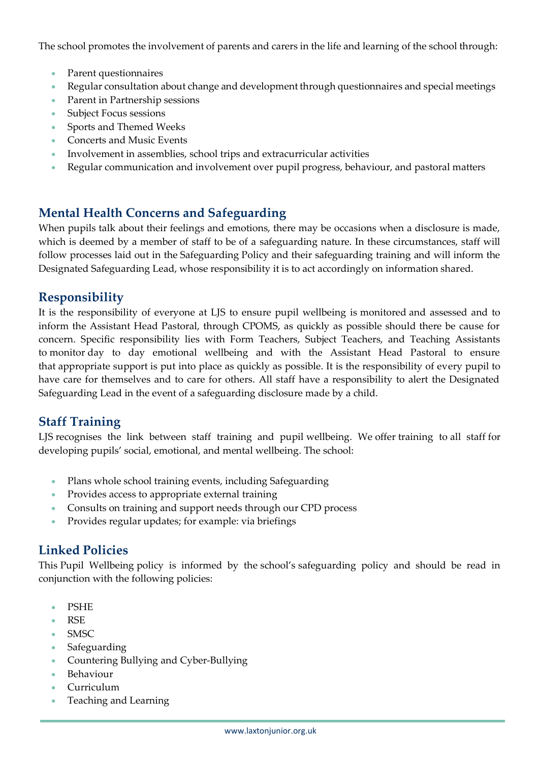The school promotes the involvement of parents and carers in the life and learning of the school through:

- Parent questionnaires
- Regular consultation about change and development through questionnaires and special meetings
- Parent in Partnership sessions
- Subject Focus sessions
- Sports and Themed Weeks
- Concerts and Music Events
- Involvement in assemblies, school trips and extracurricular activities
- Regular communication and involvement over pupil progress, behaviour, and pastoral matters

# **Mental Health Concerns and Safeguarding**

When pupils talk about their feelings and emotions, there may be occasions when a disclosure is made, which is deemed by a member of staff to be of a safeguarding nature. In these circumstances, staff will follow processes laid out in the Safeguarding Policy and their safeguarding training and will inform the Designated Safeguarding Lead, whose responsibility it is to act accordingly on information shared.

# **Responsibility**

It is the responsibility of everyone at LJS to ensure pupil wellbeing is monitored and assessed and to inform the Assistant Head Pastoral, through CPOMS, as quickly as possible should there be cause for concern. Specific responsibility lies with Form Teachers, Subject Teachers, and Teaching Assistants to monitor day to day emotional wellbeing and with the Assistant Head Pastoral to ensure that appropriate support is put into place as quickly as possible. It is the responsibility of every pupil to have care for themselves and to care for others. All staff have a responsibility to alert the Designated Safeguarding Lead in the event of a safeguarding disclosure made by a child.

# **Staff Training**

LJS recognises the link between staff training and pupil wellbeing. We offer training to all staff for developing pupils' social, emotional, and mental wellbeing. The school:

- Plans whole school training events, including Safeguarding
- Provides access to appropriate external training
- Consults on training and support needs through our CPD process
- Provides regular updates; for example: via briefings

# **Linked Policies**

This Pupil Wellbeing policy is informed by the school's safeguarding policy and should be read in conjunction with the following policies:

- PSHE
- RSE
- SMSC
- **Safeguarding**
- Countering Bullying and Cyber-Bullying
- Behaviour
- Curriculum
- Teaching and Learning